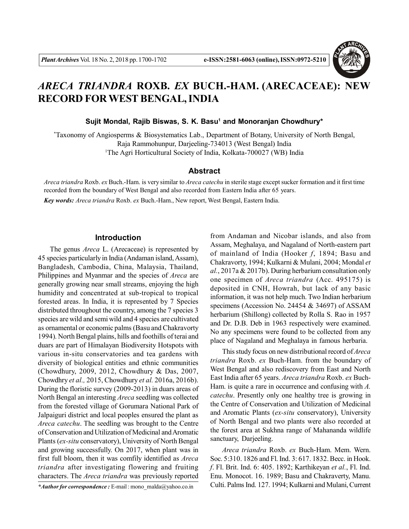

# *ARECA TRIANDRA* **ROXB.** *EX* **BUCH.-HAM. (ARECACEAE): NEW RECORD FOR WEST BENGAL, INDIA**

**Sujit Mondal, Rajib Biswas, S. K. Basu<sup>1</sup> and Monoranjan Chowdhury\***

\*Taxonomy of Angiosperms & Biosystematics Lab., Department of Botany, University of North Bengal, Raja Rammohunpur, Darjeeling-734013 (West Bengal) India <sup>1</sup>The Agri Horticultural Society of India, Kolkata-700027 (WB) India

#### **Abstract**

*Areca triandra* Roxb. *ex* Buch.-Ham. is very similar to *Areca catechu* in sterile stage except sucker formation and it first time recorded from the boundary of West Bengal and also recorded from Eastern India after 65 years.

*Key words: Areca triandra* Roxb. *ex* Buch.-Ham., New report, West Bengal, Eastern India.

#### **Introduction**

The genus *Areca* L. (Arecaceae) is represented by 45 species particularly in India (Andaman island, Assam), Bangladesh, Cambodia, China, Malaysia, Thailand, Philippines and Myanmar and the species of *Areca* are generally growing near small streams, enjoying the high humidity and concentrated at sub-tropical to tropical forested areas. In India, it is represented by 7 Species distributed throughout the country, among the 7 species 3 species are wild and semi wild and 4 species are cultivated as ornamental or economic palms (Basu and Chakravorty 1994). North Bengal plains, hills and foothills of terai and duars are part of Himalayan Biodiversity Hotspots with various in-situ conservatories and tea gardens with diversity of biological entities and ethnic communities (Chowdhury, 2009, 2012, Chowdhury & Das, 2007, Chowdhry *et al.,* 2015, Chowdhury *et al.* 2016a, 2016b). During the floristic survey (2009-2013) in duars areas of North Bengal an interesting *Areca* seedling was collected from the forested village of Gorumara National Park of Jalpaiguri district and local peoples ensured the plant as *Areca catechu*. The seedling was brought to the Centre of Conservation and Utilization of Medicinal and Aromatic Plants (*ex-situ* conservatory), University of North Bengal and growing successfully. On 2017, when plant was in first full bloom, then it was comfily identified as *Areca triandra* after investigating flowering and fruiting characters. The *Areca triandra* was previously reported

This study focus on new distributional record of *Areca triandra* Roxb. *ex* Buch-Ham. from the boundary of West Bengal and also rediscovery from East and North East India after 65 years. *Areca triandra* Roxb. *ex* Buch-Ham. is quite a rare in occurrence and confusing with *A. catechu*. Presently only one healthy tree is growing in the Centre of Conservation and Utilization of Medicinal and Aromatic Plants (*ex-situ* conservatory), University of North Bengal and two plants were also recorded at the forest area at Sukhna range of Mahananda wildlife sanctuary, Darjeeling.

*Areca triandra* Roxb. *ex* Buch-Ham. Mem. Wern. Soc. 5:310. 1826 and Fl. Ind. 3: 617. 1832. Becc. in Hook. *f*. Fl. Brit. Ind. 6: 405. 1892; Karthikeyan *et al.*, Fl. Ind. Enu. Monocot. 16. 1989; Basu and Chakraverty, Manu. Culti. Palms Ind. 127. 1994; Kulkarni and Mulani, Current

from Andaman and Nicobar islands, and also from Assam, Meghalaya, and Nagaland of North-eastern part of mainland of India (Hooker *f*, 1894; Basu and Chakravorty, 1994; Kulkarni & Mulani, 2004; Mondal *et al.*, 2017a & 2017b). During herbarium consultation only one specimen of *Areca triandra* (Acc. 495175) is deposited in CNH, Howrah, but lack of any basic information, it was not help much. Two Indian herbarium specimens (Accession No. 24454 & 34697) of ASSAM herbarium (Shillong) collected by Rolla S. Rao in 1957 and Dr. D.B. Deb in 1963 respectively were examined. No any specimens were found to be collected from any place of Nagaland and Meghalaya in famous herbaria.

*<sup>\*</sup>Author for correspondence :* E-mail : mono\_malda@yahoo.co.in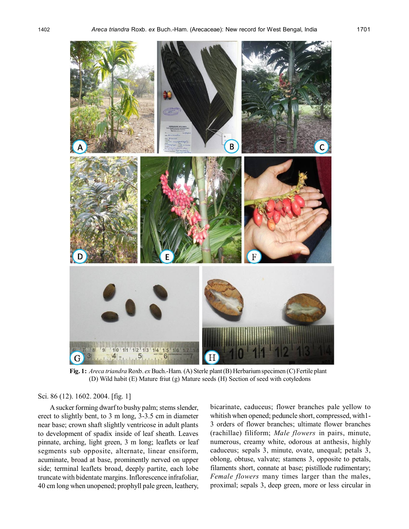

**Fig. 1:** *Areca triandra* Roxb. *ex* Buch.-Ham. (A) Sterle plant (B) Herbarium specimen (C) Fertile plant (D) Wild habit (E) Mature friut (g) Mature seeds (H) Section of seed with cotyledons

# Sci. 86 (12). 1602. 2004. [fig. 1]

A sucker forming dwarf to bushy palm; stems slender, erect to slightly bent, to 3 m long, 3-3.5 cm in diameter near base; crown shaft slightly ventricose in adult plants to development of spadix inside of leaf sheath. Leaves pinnate, arching, light green, 3 m long; leaflets or leaf segments sub opposite, alternate, linear ensiform, acuminate, broad at base, prominently nerved on upper side; terminal leaflets broad, deeply partite, each lobe truncate with bidentate margins. Inflorescence infrafoliar, 40 cm long when unopened; prophyll pale green, leathery,

bicarinate, caduceus; flower branches pale yellow to whitish when opened; peduncle short, compressed, with1- 3 orders of flower branches; ultimate flower branches (rachillae) filiform; *Male flowers* in pairs, minute, numerous, creamy white, odorous at anthesis, highly caduceus; sepals 3, minute, ovate, unequal; petals 3, oblong, obtuse, valvate; stamens 3, opposite to petals, filaments short, connate at base; pistillode rudimentary; *Female flowers* many times larger than the males, proximal; sepals 3, deep green, more or less circular in